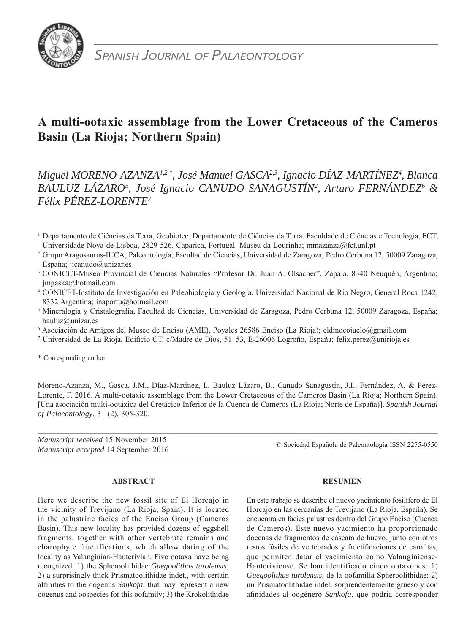

# **A multi-ootaxic assemblage from the Lower Cretaceous of the Cameros Basin (La Rioja; Northern Spain)**

*Miguel MORENO-AZANZA1,2 \*, José Manuel GASCA2,3, Ignacio DÍAZ-MARTÍNEZ4, Blanca BAULUZ LÁZARO5, José Ignacio CANUDO SANAGUSTÍN2, Arturo FERNÁNDEZ6 & Félix PÉREZ-LORENTE7*

- 1 Departamento de Ciências da Terra, Geobiotec. Departamento de Ciências da Terra. Faculdade de Ciências e Tecnologia, FCT, Universidade Nova de Lisboa, 2829-526. Caparica, Portugal. Museu da Lourinha; mmazanza@fct.unl.pt
- 2 Grupo Aragosaurus-IUCA, Paleontología, Facultad de Ciencias, Universidad de Zaragoza, Pedro Cerbuna 12, 50009 Zaragoza, España; jicanudo@unizar.es
- 3 CONICET-Museo Provincial de Ciencias Naturales "Profesor Dr. Juan A. Olsacher", Zapala, 8340 Neuquén, Argentina; jmgaska@hotmail.com
- 4 CONICET-Instituto de Investigación en Paleobiología y Geología, Universidad Nacional de Río Negro, General Roca 1242, 8332 Argentina; inaportu@hotmail.com
- 5 Mineralogía y Cristalografía, Facultad de Ciencias, Universidad de Zaragoza, Pedro Cerbuna 12, 50009 Zaragoza, España; bauluz@unizar.es
- 6 Asociación de Amigos del Museo de Enciso (AME), Poyales 26586 Enciso (La Rioja); eldinocojuelo@gmail.com
- <sup>7</sup> Universidad de La Rioja, Edificio CT, c/Madre de Dios, 51–53, E-26006 Logroño, España; felix.perez@unirioja.es
- \* Corresponding author

Moreno-Azanza, M., Gasca, J.M., Díaz-Martínez, I., Bauluz Lázaro, B., Canudo Sanagustín, J.I., Fernández, A. & Pérez-Lorente, F. 2016. A multi-ootaxic assemblage from the Lower Cretaceous of the Cameros Basin (La Rioja; Northern Spain). [Una asociación multi-ootáxica del Cretácico Inferior de la Cuenca de Cameros (La Rioja; Norte de España)]. *Spanish Journal of Palaeontology*, 31 (2), 305-320.

*Manuscript received* 15 November 2015 *Manuscript accepted* 14 September 2016 © Sociedad Española de Paleontología ISSN 2255-0550

#### **ABSTRACT**

Here we describe the new fossil site of El Horcajo in the vicinity of Trevijano (La Rioja, Spain). It is located in the palustrine facies of the Enciso Group (Cameros Basin). This new locality has provided dozens of eggshell fragments, together with other vertebrate remains and charophyte fructifications, which allow dating of the locality as Valanginian-Hauterivian. Five ootaxa have being recognized: 1) the Spheroolithidae *Guegoolithus turolensis*; 2) a surprisingly thick Prismatoolithidae indet., with certain affinities to the oogenus *Sankofa*, that may represent a new oogenus and oospecies for this oofamily; 3) the Krokolithidae

#### **RESUMEN**

En este trabajo se describe el nuevo yacimiento fosilífero de El Horcajo en las cercanías de Trevijano (La Rioja, España). Se encuentra en facies palustres dentro del Grupo Enciso (Cuenca de Cameros). Este nuevo yacimiento ha proporcionado docenas de fragmentos de cáscara de huevo, junto con otros restos fósiles de vertebrados y fructificaciones de carofitas, que permiten datar el yacimiento como Valanginiense-Hauteriviense. Se han identificado cinco ootaxones: 1) *Guegoolithus turolensis*, de la oofamilia Spheroolithidae; 2) un Prismatoolithidae indet. sorprendentemente grueso y con afinidades al oogénero *Sankofa*, que podría corresponder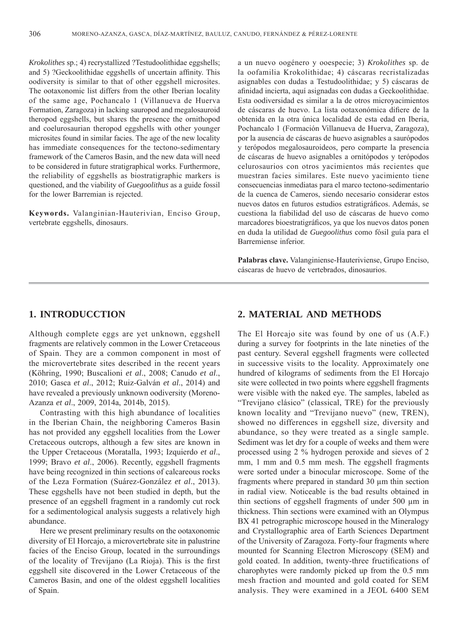*Krokolithes* sp.; 4) recrystallized ?Testudoolithidae eggshells; and 5) ?Geckoolithidae eggshells of uncertain affinity. This oodiversity is similar to that of other eggshell microsites. The ootaxonomic list differs from the other Iberian locality of the same age, Pochancalo 1 (Villanueva de Huerva Formation, Zaragoza) in lacking sauropod and megalosauroid theropod eggshells, but shares the presence the ornithopod and coelurosaurian theropod eggshells with other younger microsites found in similar facies. The age of the new locality has immediate consequences for the tectono-sedimentary framework of the Cameros Basin, and the new data will need to be considered in future stratigraphical works. Furthermore, the reliability of eggshells as biostratigraphic markers is questioned, and the viability of *Guegoolithus* as a guide fossil for the lower Barremian is rejected.

**Keywords.** Valanginian-Hauterivian, Enciso Group, vertebrate eggshells, dinosaurs.

a un nuevo oogénero y ooespecie; 3) *Krokolithes* sp. de la oofamilia Krokolithidae; 4) cáscaras recristalizadas asignables con dudas a Testudoolithidae; y 5) cáscaras de afinidad incierta, aquí asignadas con dudas a Geckoolithidae. Esta oodiversidad es similar a la de otros microyacimientos de cáscaras de huevo. La lista ootaxonómica difiere de la obtenida en la otra única localidad de esta edad en Iberia, Pochancalo 1 (Formación Villanueva de Huerva, Zaragoza), por la ausencia de cáscaras de huevo asignables a saurópodos y terópodos megalosauroideos, pero comparte la presencia de cáscaras de huevo asignables a ornitópodos y terópodos celurosaurios con otros yacimientos más recientes que muestran facies similares. Este nuevo yacimiento tiene consecuencias inmediatas para el marco tectono-sedimentario de la cuenca de Cameros, siendo necesario considerar estos nuevos datos en futuros estudios estratigráficos. Además, se cuestiona la fiabilidad del uso de cáscaras de huevo como marcadores bioestratigráficos, ya que los nuevos datos ponen en duda la utilidad de *Guegoolithus* como fósil guía para el Barremiense inferior.

**Palabras clave.** Valanginiense-Hauteriviense, Grupo Enciso, cáscaras de huevo de vertebrados, dinosaurios.

#### **1. INTRODUCCTION**

Although complete eggs are yet unknown, eggshell fragments are relatively common in the Lower Cretaceous of Spain. They are a common component in most of the microvertebrate sites described in the recent years (Köhring, 1990; Buscalioni *et al*., 2008; Canudo *et al*., 2010; Gasca *et al*., 2012; Ruiz-Galván *et al*., 2014) and have revealed a previously unknown oodiversity (Moreno-Azanza *et al*., 2009, 2014a, 2014b, 2015).

Contrasting with this high abundance of localities in the Iberian Chain, the neighboring Cameros Basin has not provided any eggshell localities from the Lower Cretaceous outcrops, although a few sites are known in the Upper Cretaceous (Moratalla, 1993; Izquierdo *et al*., 1999; Bravo *et al*., 2006). Recently, eggshell fragments have being recognized in thin sections of calcareous rocks of the Leza Formation (Suárez-González *et al*., 2013). These eggshells have not been studied in depth, but the presence of an eggshell fragment in a randomly cut rock for a sedimentological analysis suggests a relatively high abundance.

Here we present preliminary results on the ootaxonomic diversity of El Horcajo, a microvertebrate site in palustrine facies of the Enciso Group, located in the surroundings of the locality of Trevijano (La Rioja). This is the first eggshell site discovered in the Lower Cretaceous of the Cameros Basin, and one of the oldest eggshell localities of Spain.

#### **2. MATERIAL AND METHODS**

The El Horcajo site was found by one of us (A.F.) during a survey for footprints in the late nineties of the past century. Several eggshell fragments were collected in successive visits to the locality. Approximately one hundred of kilograms of sediments from the El Horcajo site were collected in two points where eggshell fragments were visible with the naked eye. The samples, labeled as "Trevijano clásico" (classical, TRE) for the previously known locality and "Trevijano nuevo" (new, TREN), showed no differences in eggshell size, diversity and abundance, so they were treated as a single sample. Sediment was let dry for a couple of weeks and them were processed using 2 % hydrogen peroxide and sieves of 2 mm, 1 mm and 0.5 mm mesh. The eggshell fragments were sorted under a binocular microscope. Some of the fragments where prepared in standard 30 μm thin section in radial view. Noticeable is the bad results obtained in thin sections of eggshell fragments of under 500 μm in thickness. Thin sections were examined with an Olympus BX 41 petrographic microscope housed in the Mineralogy and Crystallographic area of Earth Sciences Department of the University of Zaragoza. Forty-four fragments where mounted for Scanning Electron Microscopy (SEM) and gold coated. In addition, twenty-three fructifications of charophytes were randomly picked up from the 0.5 mm mesh fraction and mounted and gold coated for SEM analysis. They were examined in a JEOL 6400 SEM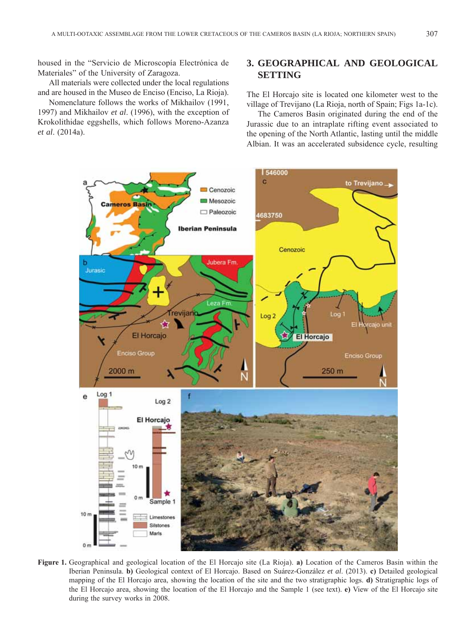All materials were collected under the local regulations and are housed in the Museo de Enciso (Enciso, La Rioja).

Nomenclature follows the works of Mikhailov (1991, 1997) and Mikhailov *et al*. (1996), with the exception of Krokolithidae eggshells, which follows Moreno-Azanza *et al*. (2014a).

# **3. GEOGRAPHICAL AND GEOLOGICAL SETTING**

The El Horcajo site is located one kilometer west to the village of Trevijano (La Rioja, north of Spain; Figs 1a-1c).

The Cameros Basin originated during the end of the Jurassic due to an intraplate rifting event associated to the opening of the North Atlantic, lasting until the middle Albian. It was an accelerated subsidence cycle, resulting



**Figure 1.** Geographical and geological location of the El Horcajo site (La Rioja). **a)** Location of the Cameros Basin within the Iberian Peninsula. **b)** Geological context of El Horcajo. Based on Suárez-González *et al*. (2013). **c)** Detailed geological mapping of the El Horcajo area, showing the location of the site and the two stratigraphic logs. **d)** Stratigraphic logs of the El Horcajo area, showing the location of the El Horcajo and the Sample 1 (see text). **e)** View of the El Horcajo site during the survey works in 2008.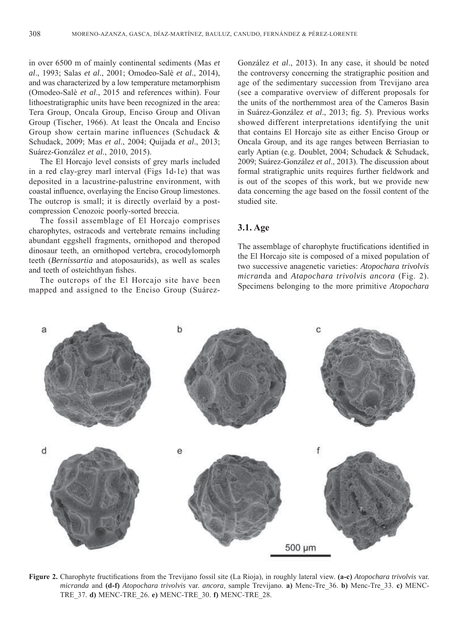in over 6500 m of mainly continental sediments (Mas *et al*., 1993; Salas *et al*., 2001; Omodeo-Salè *et al*., 2014), and was characterized by a low temperature metamorphism (Omodeo-Salè *et al*., 2015 and references within). Four lithoestratigraphic units have been recognized in the area: Tera Group, Oncala Group, Enciso Group and Olivan Group (Tischer, 1966). At least the Oncala and Enciso Group show certain marine influences (Schudack & Schudack, 2009; Mas *et al*., 2004; Quijada *et al*., 2013; Suárez-González *et al*., 2010, 2015).

The El Horcajo level consists of grey marls included in a red clay-grey marl interval (Figs 1d-1e) that was deposited in a lacustrine-palustrine environment, with coastal influence, overlaying the Enciso Group limestones. The outcrop is small; it is directly overlaid by a postcompression Cenozoic poorly-sorted breccia.

The fossil assemblage of El Horcajo comprises charophytes, ostracods and vertebrate remains including abundant eggshell fragments, ornithopod and theropod dinosaur teeth, an ornithopod vertebra, crocodylomorph teeth (*Bernissartia* and atoposaurids), as well as scales and teeth of osteichthyan fishes.

The outcrops of the El Horcajo site have been mapped and assigned to the Enciso Group (SuárezGonzález *et al.*, 2013). In any case, it should be noted<br>the controversy concerning the stratigraphic position and<br>age of the sedimentary succession from Trevijano area<br>(see a comparative overview of different proposals

#### **3.1. Age**

The assemblage of charophyte fructifications identified in<br>the El Horcajo site is composed of a mixed population of<br>two successive anagenetic varieties: *Atopochara trivolvis*<br>*micranda* and *Atapochara trivolvis ancora* (



Figure 2. Charophyte fructifications from the Trevijano fossil site (La Rioja), in roughly lateral view. (a-c) *Atopochara trivolvis* var. *micranda* and **(d-f)** *Atopochara trivolvis* var. *ancora*, sample Trevijano. **a)** Menc-Tre\_36. **b)** Menc-Tre\_33. **c)** MENC-TRE\_37. **d)** MENC-TRE\_26. **e)** MENC-TRE\_30. **f)** MENC-TRE\_28.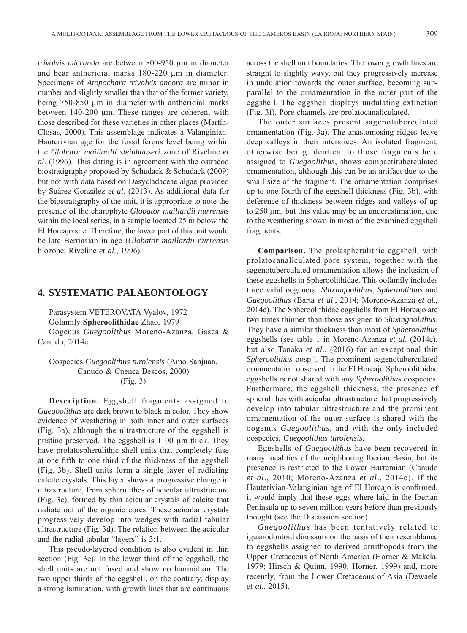*trivolvis micranda* are between 800-950 μm in diameter and bear antheridial marks 180-220 μm in diameter. Specimens of *Atopochara trivolvis ancora* are minor in number and slightly smaller than that of the former variety, being 750-850 μm in diameter with antheridial marks between 140-200 μm. These ranges are coherent with those described for these varieties in other places (Martín-Closas, 2000). This assemblage indicates a Valanginian-Hauterivian age for the fossiliferous level being within the *Globator maillardii steinhauseri* zone of Riveline *et al*. (1996). This dating is in agreement with the ostracod biostratigraphy proposed by Schudack & Schudack (2009) but not with data based on Dasycladaceae algae provided by Suárez-González *et al*. (2013). As additional data for the biostratigraphy of the unit, it is appropriate to note the presence of the charophyte *Globator maillardii nurrensis* within the local series, in a sample located 25 m below the El Horcajo site. Therefore, the lower part of this unit would be late Berriasian in age (*Globator maillardii nurrensi*<sup>s</sup> biozone; Riveline *et al*., 1996).

#### **4. SYSTEMATIC PALAEONTOLOGY**

Parasystem VETEROVATA Vyalov, 1972 Oofamily **Spheroolithidae** Zhao, 1979 Oogenus *Guegoolithus* Moreno-Azanza, Gasca & Canudo, 2014c

Oospecies *Guegoolithus turolensis* (Amo Sanjuan, Canudo & Cuenca Bescós, 2000) (Fig. 3)

**Description.** Eggshell fragments assigned to *Guegoolithus* are dark brown to black in color. They show evidence of weathering in both inner and outer surfaces (Fig. 3a), although the ultrastructure of the eggshell is pristine preserved. The eggshell is 1100 μm thick. They have prolatospherulithic shell units that completely fuse at one fifth to one third of the thickness of the eggshell (Fig. 3b). Shell units form a single layer of radiating calcite crystals. This layer shows a progressive change in ultrastructure, from spherulithes of acicular ultrastructure (Fig. 3c), formed by thin acicular crystals of calcite that radiate out of the organic cores. These acicular crystals progressively develop into wedges with radial tabular ultrastructure (Fig. 3d). The relation between the acicular and the radial tabular "layers" is 3:1.

This pseudo-layered condition is also evident in thin section (Fig. 3e). In the lower third of the eggshell, the shell units are not fused and show no lamination. The two upper thirds of the eggshell, on the contrary, display a strong lamination, with growth lines that are continuous

across the shell unit boundaries. The lower growth lines are straight to slightly wavy, but they progressively increase in undulation towards the outer surface, becoming subparallel to the ornamentation in the outer part of the eggshell. The eggshell displays undulating extinction (Fig. 3f). Pore channels are prolatocanaliculated.

The outer surfaces present sagenotuberculated ornamentation (Fig. 3a). The anastomosing ridges leave deep valleys in their interstices. An isolated fragment, otherwise being identical to those fragments here assigned to *Guegoolithus*, shows compactituberculated ornamentation, although this can be an artifact due to the small size of the fragment. The ornamentation comprises up to one fourth of the eggshell thickness (Fig. 3b), with deference of thickness between ridges and valleys of up to 250 μm, but this value may be an underestimation, due to the weathering shown in most of the examined eggshell fragments.

**Comparison.** The prolaspherulithic eggshell, with prolatocanaliculated pore system, together with the sagenotuberculated ornamentation allows the inclusion of these eggshells in Spheroolithidae. This oofamily includes three valid oogenera: *Shixingoolithus*, *Spheroolithus* and *Guegoolithus* (Barta *et al*., 2014; Moreno-Azanza *et al*., 2014c). The Spheroolithidae eggshells from El Horcajo are two times thinner than those assigned to *Shixingoolithus*. They have a similar thickness than most of *Spheroolithus* eggshells (see table 1 in Moreno-Azanza *et al*. (2014c), but also Tanaka *et al*., (2016) for an exceptional thin *Spheroolithus* oosp.). The prominent sagenotuberculated ornamentation observed in the El Horcajo Spheroolithidae eggshells is not shared with any *Spheroolithus* oospecies. Furthermore, the eggshell thickness, the presence of spherulithes with acicular ultrastructure that progressively develop into tabular ultrastructure and the prominent ornamentation of the outer surface is shared with the oogenus *Guegoolithus*, and with the only included oospecies, *Guegoolithus turolensis*.

Eggshells of *Guegoolithus* have been recovered in many localities of the neighboring Iberian Basin, but its presence is restricted to the Lower Barremian (Canudo *et al*., 2010; Moreno-Azanza *et al*., 2014c). If the Hauterivian-Valanginian age of El Horcajo is confirmed, it would imply that these eggs where laid in the Iberian Peninsula up to seven million years before than previously thought (see the Discussion section).

*Guegoolithus* has been tentatively related to iguanodontoid dinosaurs on the basis of their resemblance to eggshells assigned to derived ornithopods from the Upper Cretaceous of North America (Horner & Makela, 1979; Hirsch & Quinn, 1990; Horner, 1999) and, more recently, from the Lower Cretaceous of Asia (Dewaele *et al*., 2015).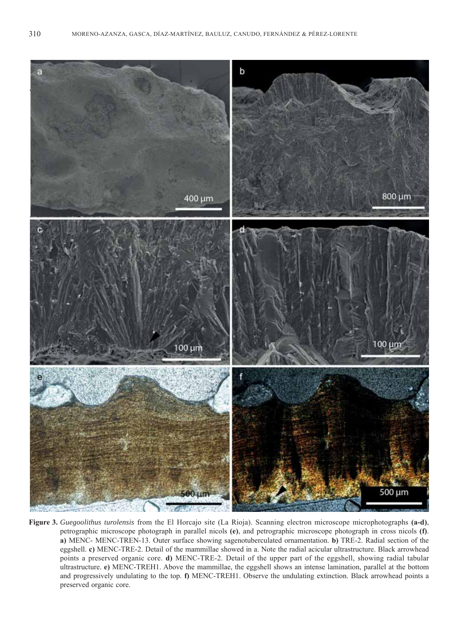

**Figure 3.** *Guegoolithus turolensis* from the El Horcajo site (La Rioja). Scanning electron microscope microphotographs **(a-d)**, petrographic microscope photograph in parallel nicols **(e)**, and petrographic microscope photograph in cross nicols **(f)**. **a)** MENC- MENC-TREN-13. Outer surface showing sagenotuberculated ornamentation. **b)** TRE-2. Radial section of the eggshell. **c)** MENC-TRE-2. Detail of the mammillae showed in a. Note the radial acicular ultrastructure. Black arrowhead points a preserved organic core. **d)** MENC-TRE-2. Detail of the upper part of the eggshell, showing radial tabular ultrastructure. **e)** MENC-TREH1. Above the mammillae, the eggshell shows an intense lamination, parallel at the bottom and progressively undulating to the top. **f)** MENC-TREH1. Observe the undulating extinction. Black arrowhead points a preserved organic core.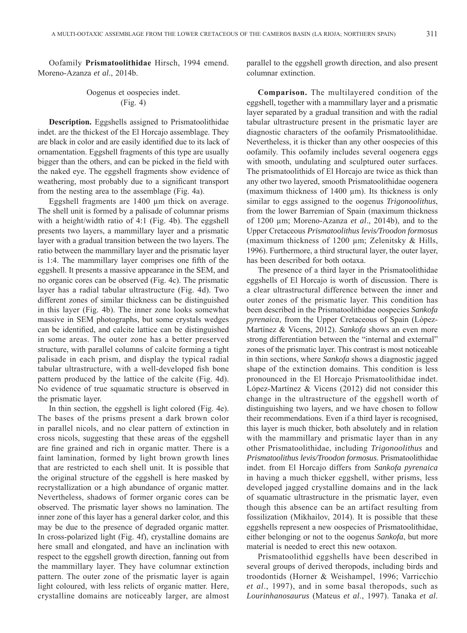Oofamily **Prismatoolithidae** Hirsch, 1994 emend. Moreno-Azanza *et al*., 2014b.

#### Oogenus et oospecies indet. (Fig. 4)

**Description.** Eggshells assigned to Prismatoolithidae indet. are the thickest of the El Horcajo assemblage. They are black in color and are easily identified due to its lack of ornamentation. Eggshell fragments of this type are usually bigger than the others, and can be picked in the field with the naked eye. The eggshell fragments show evidence of weathering, most probably due to a significant transport from the nesting area to the assemblage (Fig. 4a).

Eggshell fragments are 1400 μm thick on average. The shell unit is formed by a palisade of columnar prisms with a height/width ratio of 4:1 (Fig. 4b). The eggshell presents two layers, a mammillary layer and a prismatic layer with a gradual transition between the two layers. The ratio between the mammillary layer and the prismatic layer is 1:4. The mammillary layer comprises one fifth of the eggshell. It presents a massive appearance in the SEM, and no organic cores can be observed (Fig. 4c). The prismatic layer has a radial tabular ultrastructure (Fig. 4d). Two different zones of similar thickness can be distinguished in this layer (Fig. 4b). The inner zone looks somewhat massive in SEM photographs, but some crystals wedges can be identified, and calcite lattice can be distinguished in some areas. The outer zone has a better preserved structure, with parallel columns of calcite forming a tight palisade in each prism, and display the typical radial tabular ultrastructure, with a well-developed fish bone pattern produced by the lattice of the calcite (Fig. 4d). No evidence of true squamatic structure is observed in the prismatic layer.

In thin section, the eggshell is light colored (Fig. 4e). The bases of the prisms present a dark brown color in parallel nicols, and no clear pattern of extinction in cross nicols, suggesting that these areas of the eggshell are fine grained and rich in organic matter. There is a faint lamination, formed by light brown growth lines that are restricted to each shell unit. It is possible that the original structure of the eggshell is here masked by recrystallization or a high abundance of organic matter. Nevertheless, shadows of former organic cores can be observed. The prismatic layer shows no lamination. The inner zone of this layer has a general darker color, and this may be due to the presence of degraded organic matter. In cross-polarized light (Fig. 4f), crystalline domains are here small and elongated, and have an inclination with respect to the eggshell growth direction, fanning out from the mammillary layer. They have columnar extinction pattern. The outer zone of the prismatic layer is again light coloured, with less relicts of organic matter. Here, crystalline domains are noticeably larger, are almost parallel to the eggshell growth direction, and also present columnar extinction.

**Comparison.** The multilayered condition of the eggshell, together with a mammillary layer and a prismatic layer separated by a gradual transition and with the radial tabular ultrastructure present in the prismatic layer are diagnostic characters of the oofamily Prismatoolithidae. Nevertheless, it is thicker than any other oospecies of this oofamily. This oofamily includes several oogenera eggs with smooth, undulating and sculptured outer surfaces. The prismatoolithids of El Horcajo are twice as thick than any other two layered, smooth Prismatoolithidae oogenera (maximum thickness of 1400 μm). Its thickness is only similar to eggs assigned to the oogenus *Trigonoolithus*, from the lower Barremian of Spain (maximum thickness of 1200 μm; Moreno-Azanza *et al*., 2014b), and to the Upper Cretaceous *Prismatoolithus levis/Troodon formosus* (maximum thickness of 1200 μm; Zelenitsky & Hills, 1996). Furthermore, a third structural layer, the outer layer, has been described for both ootaxa.

The presence of a third layer in the Prismatoolithidae eggshells of El Horcajo is worth of discussion. There is a clear ultrastructural difference between the inner and outer zones of the prismatic layer. This condition has been described in the Prismatoolithidae oospecies *Sankofa pyrenaica*, from the Upper Cretaceous of Spain (López-Martínez & Vicens, 2012). *Sankofa* shows an even more strong differentiation between the "internal and external" zones of the prismatic layer. This contrast is most noticeable in thin sections, where *Sankofa* shows a diagnostic jagged shape of the extinction domains. This condition is less pronounced in the El Horcajo Prismatoolithidae indet. López-Martínez & Vicens (2012) did not consider this change in the ultrastructure of the eggshell worth of distinguishing two layers, and we have chosen to follow their recommendations. Even if a third layer is recognised, this layer is much thicker, both absolutely and in relation with the mammillary and prismatic layer than in any other Prismatoolithidae, including *Trigonoolithus* and *Prismatoolithus levis/Troodon formosus.* Prismatoolithidae indet. from El Horcajo differs from *Sankofa pyrenaica* in having a much thicker eggshell, wither prisms, less developed jagged crystalline domains and in the lack of squamatic ultrastructure in the prismatic layer, even though this absence can be an artifact resulting from fossilization (Mikhailov, 2014). It is possible that these eggshells represent a new oospecies of Prismatoolithidae, either belonging or not to the oogenus *Sankofa*, but more material is needed to erect this new ootaxon.

Prismatoolithid eggshells have been described in several groups of derived theropods, including birds and troodontids (Horner & Weishampel, 1996; Varricchio *et al*., 1997), and in some basal theropods, such as *Lourinhanosaurus* (Mateus *et al*., 1997). Tanaka *et al*.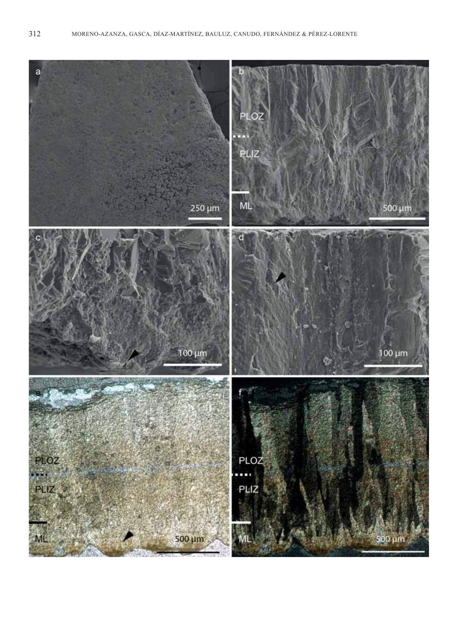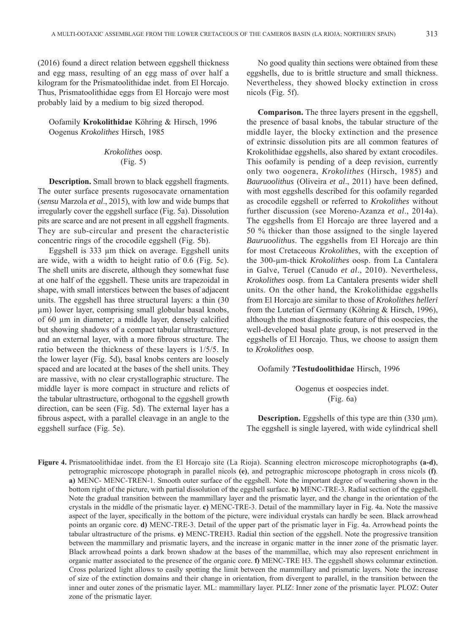(2016) found a direct relation between eggshell thickness and egg mass, resulting of an egg mass of over half a kilogram for the Prismatoolithidae indet. from El Horcajo. Thus, Prismatoolithidae eggs from El Horcajo were most probably laid by a medium to big sized theropod.

Oofamily **Krokolithidae** Köhring & Hirsch, 1996 Oogenus *Krokolithes* Hirsch, 1985

> *Krokolithes* oosp. (Fig. 5)

**Description.** Small brown to black eggshell fragments. The outer surface presents rugosocavate ornamentation (*sensu* Marzola *et al*., 2015), with low and wide bumps that irregularly cover the eggshell surface (Fig. 5a). Dissolution pits are scarce and are not present in all eggshell fragments. They are sub-circular and present the characteristic concentric rings of the crocodile eggshell (Fig. 5b).

Eggshell is 333 μm thick on average. Eggshell units are wide, with a width to height ratio of 0.6 (Fig. 5c). The shell units are discrete, although they somewhat fuse at one half of the eggshell. These units are trapezoidal in shape, with small interstices between the bases of adjacent units. The eggshell has three structural layers: a thin (30 μm) lower layer, comprising small globular basal knobs, of 60 μm in diameter; a middle layer, densely calcified but showing shadows of a compact tabular ultrastructure; and an external layer, with a more fibrous structure. The ratio between the thickness of these layers is 1/5/5. In the lower layer (Fig. 5d), basal knobs centers are loosely spaced and are located at the bases of the shell units. They are massive, with no clear crystallographic structure. The middle layer is more compact in structure and relicts of the tabular ultrastructure, orthogonal to the eggshell growth direction, can be seen (Fig. 5d). The external layer has a fibrous aspect, with a parallel cleavage in an angle to the eggshell surface (Fig. 5e).

No good quality thin sections were obtained from these eggshells, due to is brittle structure and small thickness. Nevertheless, they showed blocky extinction in cross nicols (Fig. 5f).

**Comparison.** The three layers present in the eggshell, the presence of basal knobs, the tabular structure of the middle layer, the blocky extinction and the presence of extrinsic dissolution pits are all common features of Krokolithidae eggshells, also shared by extant crocodiles. This oofamily is pending of a deep revision, currently only two oogenera, *Krokolithes* (Hirsch, 1985) and *Bauruoolithus* (Oliveira et al., 2011) have been defined, with most eggshells described for this oofamily regarded as crocodile eggshell or referred to *Krokolithes* without further discussion (see Moreno-Azanza *et al*., 2014a). The eggshells from El Horcajo are three layered and a 50 % thicker than those assigned to the single layered *Bauruoolithus*. The eggshells from El Horcajo are thin for most Cretaceous *Krokolithes*, with the exception of the 300-μm-thick *Krokolithes* oosp. from La Cantalera in Galve, Teruel (Canudo *et al*., 2010). Nevertheless, *Krokolithes* oosp. from La Cantalera presents wider shell units. On the other hand, the Krokolithidae eggshells from El Horcajo are similar to those of *Krokolithes helleri* from the Lutetian of Germany (Köhring & Hirsch, 1996), although the most diagnostic feature of this oospecies, the well-developed basal plate group, is not preserved in the eggshells of El Horcajo. Thus, we choose to assign them to *Krokolithes* oosp.

#### Oofamily **?Testudoolithidae** Hirsch, 1996

Oogenus et oospecies indet. (Fig. 6a)

**Description.** Eggshells of this type are thin (330 μm). The eggshell is single layered, with wide cylindrical shell

**Figure 4.** Prismatoolithidae indet. from the El Horcajo site (La Rioja). Scanning electron microscope microphotographs **(a-d)**, petrographic microscope photograph in parallel nicols **(e)**, and petrographic microscope photograph in cross nicols **(f)**. **a)** MENC- MENC-TREN-1. Smooth outer surface of the eggshell. Note the important degree of weathering shown in the bottom right of the picture, with partial dissolution of the eggshell surface. **b)** MENC-TRE-3. Radial section of the eggshell. Note the gradual transition between the mammillary layer and the prismatic layer, and the change in the orientation of the crystals in the middle of the prismatic layer. **c)** MENC-TRE-3. Detail of the mammillary layer in Fig. 4a. Note the massive aspect of the layer, specifically in the bottom of the picture, were individual crystals can hardly be seen. Black arrowhead points an organic core. **d)** MENC-TRE-3. Detail of the upper part of the prismatic layer in Fig. 4a. Arrowhead points the tabular ultrastructure of the prisms. **e)** MENC-TREH3. Radial thin section of the eggshell. Note the progressive transition between the mammillary and prismatic layers, and the increase in organic matter in the inner zone of the prismatic layer. Black arrowhead points a dark brown shadow at the bases of the mammillae, which may also represent enrichment in organic matter associated to the presence of the organic core. **f)** MENC-TRE H3. The eggshell shows columnar extinction. Cross polarized light allows to easily spotting the limit between the mammillary and prismatic layers. Note the increase of size of the extinction domains and their change in orientation, from divergent to parallel, in the transition between the inner and outer zones of the prismatic layer. ML: mammillary layer. PLIZ: Inner zone of the prismatic layer. PLOZ: Outer zone of the prismatic layer.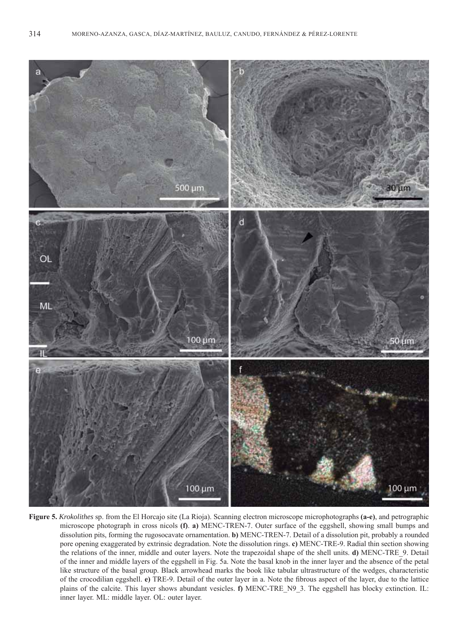

**Figure 5.** *Krokolithes* sp. from the El Horcajo site (La Rioja). Scanning electron microscope microphotographs **(a-e)**, and petrographic microscope photograph in cross nicols **(f)**. **a)** MENC-TREN-7. Outer surface of the eggshell, showing small bumps and dissolution pits, forming the rugosocavate ornamentation. **b)** MENC-TREN-7. Detail of a dissolution pit, probably a rounded pore opening exaggerated by extrinsic degradation. Note the dissolution rings. **c)** MENC-TRE-9. Radial thin section showing the relations of the inner, middle and outer layers. Note the trapezoidal shape of the shell units. **d)** MENC-TRE\_9. Detail of the inner and middle layers of the eggshell in Fig. 5a. Note the basal knob in the inner layer and the absence of the petal like structure of the basal group. Black arrowhead marks the book like tabular ultrastructure of the wedges, characteristic of the crocodilian eggshell. **e**) TRE-9. Detail of the outer layer in a. Note the fibrous aspect of the layer, due to the lattice plains of the calcite. This layer shows abundant vesicles. **f)** MENC-TRE\_N9\_3. The eggshell has blocky extinction. IL: inner layer. ML: middle layer. OL: outer layer.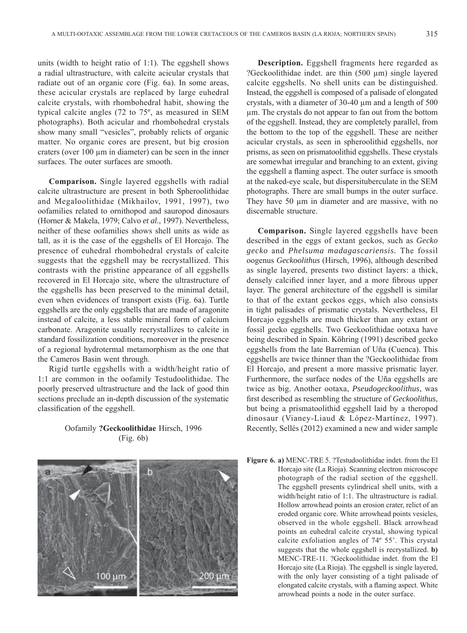units (width to height ratio of 1:1). The eggshell shows a radial ultrastructure, with calcite acicular crystals that radiate out of an organic core (Fig. 6a). In some areas, these acicular crystals are replaced by large euhedral calcite crystals, with rhombohedral habit, showing the typical calcite angles (72 to 75º, as measured in SEM photographs). Both acicular and rhombohedral crystals show many small "vesicles", probably relicts of organic matter. No organic cores are present, but big erosion craters (over 100 μm in diameter) can be seen in the inner surfaces. The outer surfaces are smooth.

**Comparison.** Single layered eggshells with radial calcite ultrastructure are present in both Spheroolithidae and Megaloolithidae (Mikhailov, 1991, 1997), two oofamilies related to ornithopod and sauropod dinosaurs (Horner & Makela, 1979; Calvo *et al*., 1997). Nevertheless, neither of these oofamilies shows shell units as wide as tall, as it is the case of the eggshells of El Horcajo. The presence of euhedral rhombohedral crystals of calcite suggests that the eggshell may be recrystallized. This contrasts with the pristine appearance of all eggshells recovered in El Horcajo site, where the ultrastructure of the eggshells has been preserved to the minimal detail, even when evidences of transport exists (Fig. 6a). Turtle eggshells are the only eggshells that are made of aragonite instead of calcite, a less stable mineral form of calcium carbonate. Aragonite usually recrystallizes to calcite in standard fossilization conditions, moreover in the presence of a regional hydrotermal metamorphism as the one that the Cameros Basin went through.

Rigid turtle eggshells with a width/height ratio of 1:1 are common in the oofamily Testudoolithidae. The poorly preserved ultrastructure and the lack of good thin sections preclude an in-depth discussion of the systematic classification of the eggshell.

> Oofamily **?Geckoolithidae** Hirsch, 1996 (Fig. 6b)



**Description.** Eggshell fragments here regarded as ?Geckoolithidae indet. are thin (500 μm) single layered calcite eggshells. No shell units can be distinguished. Instead, the eggshell is composed of a palisade of elongated crystals, with a diameter of 30-40 μm and a length of 500 μm. The crystals do not appear to fan out from the bottom of the eggshell. Instead, they are completely parallel, from the bottom to the top of the eggshell. These are neither acicular crystals, as seen in spheroolithid eggshells, nor prisms, as seen on prismatoolithid eggshells. These crystals are somewhat irregular and branching to an extent, giving the eggshell a flaming aspect. The outer surface is smooth at the naked-eye scale, but dispersituberculate in the SEM photographs. There are small bumps in the outer surface. They have 50 μm in diameter and are massive, with no discernable structure.

**Comparison.** Single layered eggshells have been described in the eggs of extant geckos, such as *Gecko gecko* and *Phelsuma madagascariensis.* The fossil oogenus *Geckoolithus* (Hirsch, 1996), although described as single layered, presents two distinct layers: a thick, densely calcified inner layer, and a more fibrous upper layer. The general architecture of the eggshell is similar to that of the extant geckos eggs, which also consists in tight palisades of prismatic crystals. Nevertheless, El Horcajo eggshells are much thicker than any extant or fossil gecko eggshells. Two Geckoolithidae ootaxa have being described in Spain. Köhring (1991) described gecko eggshells from the late Barremian of Uña (Cuenca). This eggshells are twice thinner than the ?Geckoolithidae from El Horcajo, and present a more massive prismatic layer. Furthermore, the surface nodes of the Uña eggshells are twice as big. Another ootaxa, *Pseudogeckoolithus*, was first described as resembling the structure of *Geckoolithus*, but being a prismatoolithid eggshell laid by a theropod dinosaur (Vianey-Liaud & López-Martínez, 1997). Recently, Sellés (2012) examined a new and wider sample

**Figure 6. a)** MENC-TRE 5. ?Testudoolithidae indet. from the El Horcajo site (La Rioja). Scanning electron microscope photograph of the radial section of the eggshell. The eggshell presents cylindrical shell units, with a width/height ratio of 1:1. The ultrastructure is radial. Hollow arrowhead points an erosion crater, relict of an eroded organic core. White arrowhead points vesicles, observed in the whole eggshell. Black arrowhead points an euhedral calcite crystal, showing typical calcite exfoliation angles of 74º 55'. This crystal suggests that the whole eggshell is recrystallized. **b)** MENC-TRE-11. ?Geckoolithidae indet. from the El Horcajo site (La Rioja). The eggshell is single layered, with the only layer consisting of a tight palisade of elongated calcite crystals, with a flaming aspect. White arrowhead points a node in the outer surface.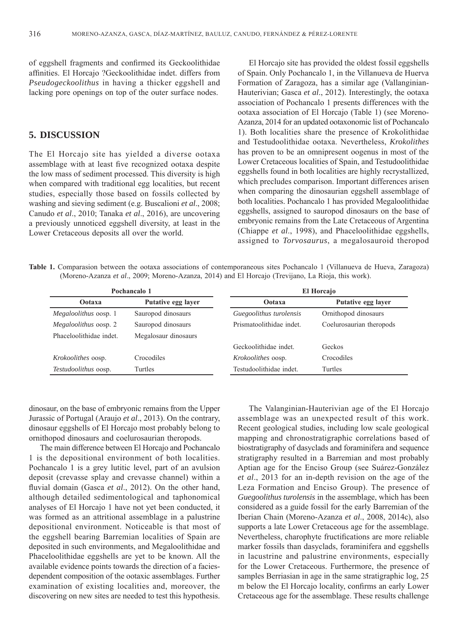of eggshell fragments and confirmed its Geckoolithidae affinities. El Horcajo ?Geckoolithidae indet. differs from *Pseudogeckoolithus* in having a thicker eggshell and lacking pore openings on top of the outer surface nodes.

### **5. DISCUSSION**

The El Horcajo site has yielded a diverse ootaxa assemblage with at least five recognized ootaxa despite the low mass of sediment processed. This diversity is high when compared with traditional egg localities, but recent studies, especially those based on fossils collected by washing and sieving sediment (e.g. Buscalioni *et al*., 2008; Canudo *et al*., 2010; Tanaka *et al*., 2016), are uncovering a previously unnoticed eggshell diversity, at least in the Lower Cretaceous deposits all over the world.

El Horcajo site has provided the oldest fossil eggshells of Spain. Only Pochancalo 1, in the Villanueva de Huerva Formation of Zaragoza, has a similar age (Vallanginian-Hauterivian; Gasca *et al*., 2012). Interestingly, the ootaxa association of Pochancalo 1 presents differences with the ootaxa association of El Horcajo (Table 1) (see Moreno-Azanza, 2014 for an updated ootaxonomic list of Pochancalo 1). Both localities share the presence of Krokolithidae and Testudoolithidae ootaxa. Nevertheless, *Krokolithes* has proven to be an omnipresent oogenus in most of the Lower Cretaceous localities of Spain, and Testudoolithidae eggshells found in both localities are highly recrystallized, which precludes comparison. Important differences arisen when comparing the dinosaurian eggshell assemblage of both localities. Pochancalo 1 has provided Megaloolithidae eggshells, assigned to sauropod dinosaurs on the base of embryonic remains from the Late Cretaceous of Argentina (Chiappe *et al*., 1998), and Phaceloolithidae eggshells, assigned to *Torvosaurus*, a megalosauroid theropod

**Table 1.** Comparasion between the ootaxa associations of contemporaneous sites Pochancalo 1 (Villanueva de Hueva, Zaragoza) (Moreno-Azanza *et al*., 2009; Moreno-Azanza, 2014) and El Horcajo (Trevijano, La Rioja, this work).

| Pochancalo 1                 |                      | El Horcajo                |                          |
|------------------------------|----------------------|---------------------------|--------------------------|
| Ootaxa                       | Putative egg layer   | Ootaxa                    | Putative egg layer       |
| Megaloolithus oosp. 1        | Sauropod dinosaurs   | Guegoolithus turolensis   | Ornithopod dinosaurs     |
| <i>Megaloolithus</i> oosp. 2 | Sauropod dinosaurs   | Prismatoolithidae indet.  | Coelurosaurian theropods |
| Phaceloolithidae indet.      | Megalosaur dinosaurs |                           |                          |
|                              |                      | Geckoolithidae indet.     | Geckos                   |
| <i>Krokoolithes</i> oosp.    | Crocodiles           | <i>Krokoolithes</i> oosp. | Crocodiles               |
| Testudoolithus oosp.         | Turtles              | Testudoolithidae indet.   | Turtles                  |

dinosaur, on the base of embryonic remains from the Upper Jurassic of Portugal (Araujo *et al*., 2013). On the contrary, dinosaur eggshells of El Horcajo most probably belong to ornithopod dinosaurs and coelurosaurian theropods.

The main difference between El Horcajo and Pochancalo 1 is the depositional environment of both localities. Pochancalo 1 is a grey lutitic level, part of an avulsion deposit (crevasse splay and crevasse channel) within a fluvial domain (Gasca *et al.*, 2012). On the other hand, although detailed sedimentological and taphonomical analyses of El Horcajo 1 have not yet been conducted, it was formed as an attritional assemblage in a palustrine depositional environment. Noticeable is that most of the eggshell bearing Barremian localities of Spain are deposited in such environments, and Megaloolithidae and Phaceloolithidae eggshells are yet to be known. All the available evidence points towards the direction of a faciesdependent composition of the ootaxic assemblages. Further examination of existing localities and, moreover, the discovering on new sites are needed to test this hypothesis.

The Valanginian-Hauterivian age of the El Horcajo assemblage was an unexpected result of this work. Recent geological studies, including low scale geological mapping and chronostratigraphic correlations based of biostratigraphy of dasyclads and foraminifera and sequence stratigraphy resulted in a Barremian and most probably Aptian age for the Enciso Group (see Suárez-González *et al*., 2013 for an in-depth revision on the age of the Leza Formation and Enciso Group). The presence of *Guegoolithus turolensis* in the assemblage, which has been considered as a guide fossil for the early Barremian of the Iberian Chain (Moreno-Azanza *et al*., 2008, 2014c), also supports a late Lower Cretaceous age for the assemblage. Nevertheless, charophyte fructifications are more reliable marker fossils than dasyclads, foraminifera and eggshells in lacustrine and palustrine environments, especially for the Lower Cretaceous. Furthermore, the presence of samples Berriasian in age in the same stratigraphic log, 25 m below the El Horcajo locality, confirms an early Lower Cretaceous age for the assemblage. These results challenge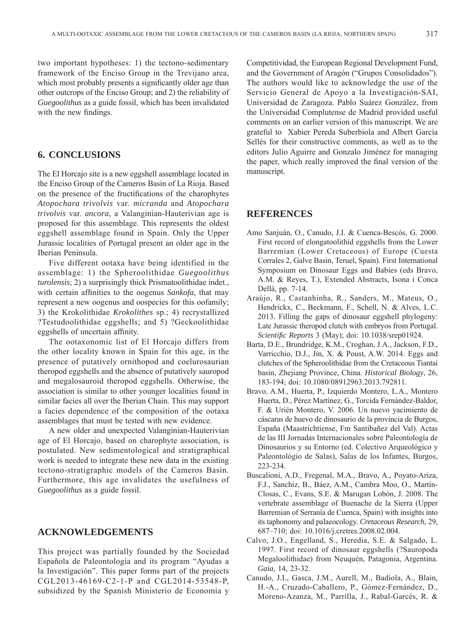two important hypotheses: 1) the tectono-sedimentary framework of the Enciso Group in the Trevijano area, which most probably presents a significantly older age than other outcrops of the Enciso Group; and 2) the reliability of *Guegoolithus* as a guide fossil, which has been invalidated with the new findings.

# **6. CONCLUSIONS**

The El Horcajo site is a new eggshell assemblage located in the Enciso Group of the Cameros Basin of La Rioja. Based on the presence of the fructifications of the charophytes  *Atopochara trivolvis* var. *micranda* and *Atopochara trivolvis* var. *ancora*, a Valanginian-Hauterivian age is proposed for this assemblage. This represents the oldest eggshell assemblage found in Spain. Only the Upper Jurassic localities of Portugal present an older age in the Iberian Peninsula.

Five different ootaxa have being identified in the assemblage: 1) the Spheroolithidae *Guegoolithus turolensis*; 2) a surprisingly thick Prismatoolithidae indet., with certain affinities to the oogenus *Sankofa*, that may represent a new oogenus and oospecies for this oofamily; 3) the Krokolithidae *Krokolithes* sp.; 4) recrystallized ?Testudoolithidae eggshells; and 5) ?Geckoolithidae eggshells of uncertain affinity.

The ootaxonomic list of El Horcajo differs from the other locality known in Spain for this age, in the presence of putatively ornithopod and coelurosaurian theropod eggshells and the absence of putatively sauropod and megalosauroid theropod eggshells. Otherwise, the association is similar to other younger localities found in similar facies all over the Iberian Chain. This may support a facies dependence of the composition of the ootaxa assemblages that must be tested with new evidence.

A new older and unexpected Valanginian-Hauterivian age of El Horcajo, based on charophyte association, is postulated. New sedimentological and stratigraphical work is needed to integrate these new data in the existing tectono-stratigraphic models of the Cameros Basin. Furthermore, this age invalidates the usefulness of *Guegoolithus* as a guide fossil.

# **ACKNOWLEDGEMENTS**

This project was partially founded by the Sociedad Española de Paleontología and its program "Ayudas a la Investigación". This paper forms part of the projects CGL2013-46169-C2-1-P and CGL2014-53548-P, subsidized by the Spanish Ministerio de Economía y

Competitividad, the European Regional Development Fund, and the Government of Aragón ("Grupos Consolidados"). The authors would like to acknowledge the use of the Servicio General de Apoyo a la Investigación-SAI, Universidad de Zaragoza. Pablo Suárez González, from the Universidad Complutense de Madrid provided useful comments on an earlier version of this manuscript. We are grateful to Xabier Pereda Suberbiola and Albert García Sellés for their constructive comments, as well as to the editors Julio Aguirre and Gonzalo Jiménez for managing the paper, which really improved the final version of the manuscript.

# **REFERENCES**

- Amo Sanjuán, O., Canudo, J.I. & Cuenca-Bescós, G. 2000. First record of elongatoolithid eggshells from the Lower Barremian (Lower Cretaceous) of Europe (Cuesta Corrales 2, Galve Basin, Teruel, Spain). First International Symposium on Dinosaur Eggs and Babies (eds Bravo, A.M. & Reyes, T.), Extended Abstracts, Isona i Conca Dellà, pp. 7-14.
- Araújo, R., Castanhinha, R., Sanders, M., Mateus, O., Hendrickx, C., Beckmann, F., Schell, N. & Alves, L.C. 2013. Filling the gaps of dinosaur eggshell phylogeny: Late Jurassic theropod clutch with embryos from Portugal. *Scientifi c Reports* 3 (May); doi: 10.1038/srep01924.
- Barta, D.E., Brundridge, K.M., Croghan, J.A., Jackson, F.D., Varricchio, D.J., Jin, X. & Poust, A.W. 2014. Eggs and clutches of the Spheroolithidae from the Cretaceous Tiantai basin, Zhejiang Province, China. *Historical Biology*, 26, 183-194; doi: 10.1080/08912963.2013.792811.
- Bravo, A.M., Huerta, P., Izquierdo Montero, L.A., Montero Huerta, D., Pérez Martínez, G., Torcida Fernández-Baldor, F. & Urién Montero, V. 2006. Un nuevo yacimiento de cáscaras de huevo de dinosaurio de la provincia de Burgos, España (Maastrichtiense, Fm Santibañez del Val). Actas de las III Jornadas Internacionales sobre Paleontología de Dinosaurios y su Entorno (ed. Colectivo Arqueológico y Paleontológio de Salas), Salas de los Infantes, Burgos, 223-234.
- Buscalioni, A.D., Fregenal, M.A., Bravo, A., Poyato-Ariza, F.J., Sanchiz, B., Báez, A.M., Cambra Moo, O., Martín-Closas, C., Evans, S.E. & Marugan Lobón, J. 2008. The vertebrate assemblage of Buenache de la Sierra (Upper Barremian of Serranía de Cuenca, Spain) with insights into its taphonomy and palaeocology. *Cretaceous Research*, 29, 687–710; doi: 10.1016/j.cretres.2008.02.004.
- Calvo, J.O., Engelland, S., Heredia, S.E. & Salgado, L. 1997. First record of dinosaur eggshells (?Sauropoda Megaloolithidae) from Neuquén, Patagonia, Argentina. *Gaia,* 14, 23-32.
- Canudo, J.I., Gasca, J.M., Aurell, M., Badiola, A., Blain, H.-A., Cruzado-Caballero, P., Gómez-Fernández, D., Moreno-Azanza, M., Parrilla, J., Rabal-Garcés, R. &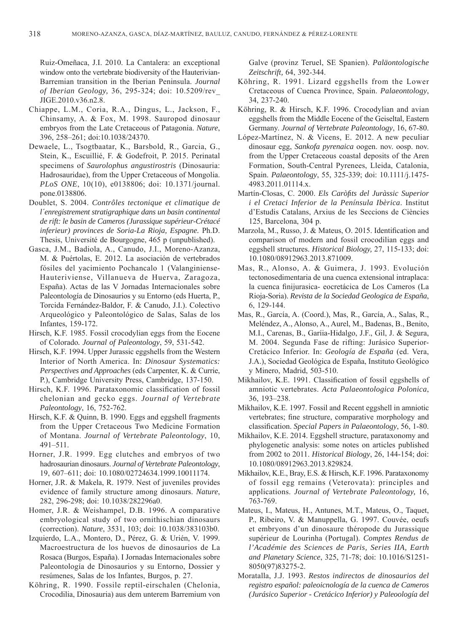Ruiz-Omeñaca, J.I. 2010. La Cantalera: an exceptional window onto the vertebrate biodiversity of the Hauterivian-Barremian transition in the Iberian Peninsula. *Journal of Iberian Geology,* 36, 295-324; doi: 10.5209/rev\_ JIGE.2010.v36.n2.8.

- Chiappe, L.M., Coria, R.A., Dingus, L., Jackson, F., Chinsamy, A. & Fox, M. 1998. Sauropod dinosaur embryos from the Late Cretaceous of Patagonia. *Nature*, 396, 258–261; doi:10.1038/24370.
- Dewaele, L., Tsogtbaatar, K., Barsbold, R., Garcia, G., Stein, K., Escuillié, F. & Godefroit, P. 2015. Perinatal specimens of *Saurolophus angustirostris* (Dinosauria: Hadrosauridae), from the Upper Cretaceous of Mongolia. *PLoS ONE*, 10(10), e0138806; doi: 10.1371/journal. pone.0138806.
- Doublet, S. 2004. *Contrôles tectonique et climatique de l´enregistrement stratigraphique dans un basin continental de rift: le basin de Cameros (Jurassique supérieur-Crétacé inferieur) provinces de Soria-La Rioja, Espagne.* Ph.D. Thesis, Université de Bourgogne, 465 p (unpublished).
- Gasca, J.M., Badiola, A., Canudo, J.I., Moreno-Azanza, M. & Puértolas, E. 2012. La asociación de vertebrados fósiles del yacimiento Pochancalo 1 (Valanginiense-Hauteriviense, Villanueva de Huerva, Zaragoza, España). Actas de las V Jornadas Internacionales sobre Paleontología de Dinosaurios y su Entorno (eds Huerta, P., Torcida Fernández-Baldor, F. & Canudo, J.I.). Colectivo Arqueológico y Paleontológico de Salas, Salas de los Infantes, 159-172.
- Hirsch, K.F. 1985. Fossil crocodylian eggs from the Eocene of Colorado*. Journal of Paleontology*, 59, 531-542.
- Hirsch, K.F. 1994. Upper Jurassic eggshells from the Western Interior of North America. In: *Dinosaur Systematics: Perspectives and Approaches* (eds Carpenter, K. & Currie, P.), Cambridge University Press, Cambridge, 137-150.
- Hirsch, K.F. 1996. Parataxonomic classification of fossil chelonian and gecko eggs. *Journal of Vertebrate Paleontology*, 16, 752-762.
- Hirsch, K.F. & Quinn, B. 1990. Eggs and eggshell fragments from the Upper Cretaceous Two Medicine Formation of Montana. *Journal of Vertebrate Paleontology*, 10, 491–511.
- Horner, J.R. 1999. Egg clutches and embryos of two hadrosaurian dinosaurs. *Journal of Vertebrate Paleontology*, 19, 607–611; doi: 10.1080/02724634.1999.10011174.
- Horner, J.R. & Makela, R. 1979. Nest of juveniles provides evidence of family structure among dinosaurs. *Nature*, 282, 296-298; doi: 10.1038/282296a0.
- Homer, J.R. & Weishampel, D.B. 1996. A comparative embryological study of two ornithischian dinosaurs (correction). *Nature*, 3531, 103; doi: 10.1038/383103b0.
- Izquierdo, L.A., Montero, D., Pérez, G. & Urién, V. 1999. Macroestructura de los huevos de dinosaurios de La Rosaca (Burgos, España). I Jornadas Internacionales sobre Paleontología de Dinosaurios y su Entorno, Dossier y resúmenes*,* Salas de los Infantes, Burgos, p. 27.
- Köhring, R. 1990. Fossile reptil-eirschalen (Chelonia, Crocodilia, Dinosauria) aus dem unterem Barremium von

Galve (provinz Teruel, SE Spanien). *Paläontologische Zeitschrift,* 64, 392-344.

- Köhring, R. 1991. Lizard eggshells from the Lower Cretaceous of Cuenca Province, Spain. *Palaeontology*, 34, 237-240.
- Köhring, R. & Hirsch, K.F. 1996. Crocodylian and avian eggshells from the Middle Eocene of the Geiseltal, Eastern Germany. *Journal of Vertebrate Paleontology*, 16, 67-80.
- López-Martínez, N. & Vicens, E. 2012. A new peculiar dinosaur egg, *Sankofa pyrenaica* oogen. nov. oosp. nov. from the Upper Cretaceous coastal deposits of the Aren Formation, South-Central Pyrenees, Lleida, Catalonia, Spain. *Palaeontology*, 55, 325-339; doi: 10.1111/j.1475- 4983.2011.01114.x.
- Martín-Closas, C. 2000. *Els Caròfits del Juràssic Superior i el Cretaci Inferior de la Península Ibèrica*. Institut d'Estudis Catalans, Arxius de les Seccions de Ciències 125, Barcelona, 304 p.
- Marzola, M., Russo, J. & Mateus, O. 2015. Identification and comparison of modern and fossil crocodilian eggs and eggshell structures. *Historical Biology,* 27, 115-133; doi: 10.1080/08912963.2013.871009.
- Mas, R., Alonso, A. & Guimera, J. 1993. Evolución tectonosedimentaria de una cuenca extensional intraplaca: la cuenca finijurasica- eocretácica de Los Cameros (La Rioja-Soria). *Revista de la Sociedad Geologica de España*, 6, 129-144.
- Mas, R., García, A. (Coord.), Mas, R., García, A., Salas, R., Meléndez, A., Alonso, A., Aurel, M., Badenas, B., Benito, M.I., Carenas, B., Garíia-Hidalgo, J.F., Gil, J. & Segura, M. 2004. Segunda Fase de rifting: Jurásico Superior-Cretácico Inferior. In: *Geología de España* (ed. Vera, J.A.), Sociedad Geológica de España, Instituto Geológico y Minero, Madrid, 503-510.
- Mikhailov, K.E. 1991. Classification of fossil eggshells of amniotic vertebrates. *Acta Palaeontologica Polonica*, 36, 193–238.
- Mikhailov, K.E. 1997. Fossil and Recent eggshell in amniotic vertebrates; fine structure, comparative morphology and classification. *Special Papers in Palaeontology*, 56, 1-80.
- Mikhailov, K.E. 2014. Eggshell structure, parataxonomy and phylogenetic analysis: some notes on articles published from 2002 to 2011. *Historical Biology*, 26, 144-154; doi: 10.1080/08912963.2013.829824.
- Mikhailov, K.E., Bray, E.S. & Hirsch, K.F. 1996. Parataxonomy of fossil egg remains (Veterovata): principles and applications. *Journal of Vertebrate Paleontology,* 16, 763-769.
- Mateus, I., Mateus, H., Antunes, M.T., Mateus, O., Taquet, P., Ribeiro, V. & Manuppella, G. 1997. Couvée, oeufs et embryons d'un dinosaure théropode du Jurassique supérieur de Lourinha (Portugal). *Comptes Rendus de l'Académie des Sciences de Paris, Series IIA, Earth and Planetary Science*, 325, 71-78; doi: 10.1016/S1251- 8050(97)83275-2.
- Moratalla, J.J. 1993. *Restos indirectos de dinosaurios del registro español: paleoicnología de la cuenca de Cameros (Jurásico Superior - Cretácico Inferior) y Paleoología del*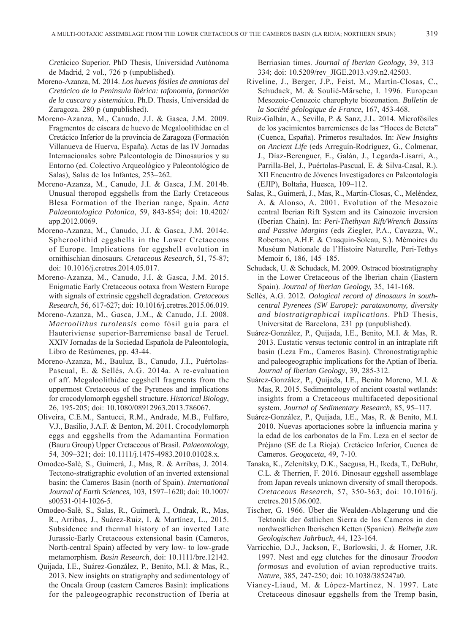*Cret*ácico Superior. PhD Thesis, Universidad Autónoma de Madrid, 2 vol., 726 p (unpublished).

- Moreno-Azanza, M. 2014. *Los huevos fósiles de amniotas del Cretácico de la Península Ibérica: tafonomía, formación de la cascara y sistemática*. Ph.D. Thesis, Universidad de Zaragoza. 280 p (unpublished).
- Moreno-Azanza, M., Canudo, J.I. & Gasca, J.M. 2009. Fragmentos de cáscara de huevo de Megaloolithidae en el Cretácico Inferior de la provincia de Zaragoza (Formación Villanueva de Huerva, España). Actas de las IV Jornadas Internacionales sobre Paleontología de Dinosaurios y su Entorno (ed. Colectivo Arqueológico y Paleontológico de Salas), Salas de los Infantes, 253–262.
- Moreno-Azanza, M., Canudo, J.I. & Gasca, J.M. 2014b. Unusual theropod eggshells from the Early Cretaceous Blesa Formation of the Iberian range, Spain. *Acta Palaeontologica Polonica*, 59, 843-854; doi: 10.4202/ app.2012.0069.
- Moreno-Azanza, M., Canudo, J.I. & Gasca, J.M. 2014c. Spheroolithid eggshells in the Lower Cretaceous of Europe. Implications for eggshell evolution in ornithischian dinosaurs. *Cretaceous Research*, 51, 75-87; doi: 10.1016/j.cretres.2014.05.017.
- Moreno-Azanza, M., Canudo, J.I. & Gasca, J.M. 2015. Enigmatic Early Cretaceous ootaxa from Western Europe with signals of extrinsic eggshell degradation. *Cretaceous Research*, 56, 617-627; doi: 10.1016/j.cretres.2015.06.019.
- Moreno-Azanza, M., Gasca, J.M., & Canudo, J.I. 2008. *Macroolithus turolensis* como fósil guía para el Hauteriviense superior-Barremiense basal de Teruel. XXIV Jornadas de la Sociedad Española de Paleontología, Libro de Resúmenes, pp. 43-44.
- Moreno-Azanza, M., Bauluz, B., Canudo, J.I., Puértolas-Pascual, E. & Sellés, A.G. 2014a. A re-evaluation of aff. Megaloolithidae eggshell fragments from the uppermost Cretaceous of the Pyrenees and implications for crocodylomorph eggshell structure. *Historical Biology*, 26, 195-205; doi: 10.1080/08912963.2013.786067.
- Oliveira, C.E.M., Santucci, R.M., Andrade, M.B., Fulfaro, V.J., Basílio, J.A.F. & Benton, M. 2011. Crocodylomorph eggs and eggshells from the Adamantina Formation (Bauru Group) Upper Cretaceous of Brasil. *Palaeontology*, 54, 309–321; doi: 10.1111/j.1475-4983.2010.01028.x.
- Omodeo-Salè, S., Guimerà, J., Mas, R. & Arribas, J. 2014. Tectono-stratigraphic evolution of an inverted extensional basin: the Cameros Basin (north of Spain). *International Journal of Earth Sciences,* 103, 1597–1620; doi: 10.1007/ s00531-014-1026-5.
- Omodeo-Salè, S., Salas, R., Guimerà, J., Ondrak, R., Mas, R., Arribas, J., Suárez-Ruiz, I. & Martínez, L., 2015. Subsidence and thermal history of an inverted Late Jurassic-Early Cretaceous extensional basin (Cameros, North-central Spain) affected by very low- to low-grade metamorphism*. Basin Research*, doi: 10.1111/bre.12142.
- Quijada, I.E., Suárez-González, P., Benito, M.I. & Mas, R., 2013. New insights on stratigraphy and sedimentology of the Oncala Group (eastern Cameros Basin): implications for the paleogeographic reconstruction of Iberia at

Berriasian times. *Journal of Iberian Geology,* 39, 313– 334; doi: 10.5209/rev\_JIGE.2013.v39.n2.42503.

- Riveline, J., Berger, J.P., Feist, M., Martín-Closas, C., Schudack, M. & Soulié-Märsche, I. 1996. European Mesozoic-Cenozoic charophyte biozonation. *Bulletin de la Société géologique de France*, 167, 453-468.
- Ruiz-Galbán, A., Sevilla, P. & Sanz, J.L. 2014. Microfósiles de los yacimientos barremienses de las "Hoces de Beteta" (Cuenca, España). Primeros resultados. In: *New Insights on Ancient Life* (eds Arreguín-Rodríguez, G., Colmenar, J., Díaz-Berenguer, E., Galán, J., Legarda-Lisarri, A., Parrilla-Bel, J., Puértolas-Pascual, E. & Silva-Casal, R.). XII Encuentro de Jóvenes Investigadores en Paleontología (EJIP), Boltaña, Huesca, 109–112.
- Salas, R., Guimerà, J., Mas, R., Martín-Closas, C., Meléndez, A. & Alonso, A. 2001. Evolution of the Mesozoic central Iberian Rift System and its Cainozoic inversion (Iberian Chain). In: *Peri-Thethyan Rift/Wrench Bassins and Passive Margins* (eds Ziegler, P.A., Cavazza, W., Robertson, A.H.F. & Crasquin-Soleau, S.). Mémoires du Muséum Nationale de l'Histoire Naturelle*,* Peri-Tethys Memoir 6, 186, 145–185.
- Schudack, U. & Schudack, M. 2009. Ostracod biostratigraphy in the Lower Cretaceous of the Iberian chain (Eastern Spain). *Journal of Iberian Geology,* 35, 141-168.
- Sellés, A.G. 2012. *Oological record of dinosaurs in southcentral Pyrenees (SW Europe): parataxonomy, diversity and biostratigraphical implications*. PhD Thesis, Universitat de Barcelona, 231 pp (unpublished).
- Suárez-González, P., Quijada, I.E., Benito, M.I. & Mas, R. 2013. Eustatic versus tectonic control in an intraplate rift basin (Leza Fm., Cameros Basin). Chronostratigraphic and paleogeographic implications for the Aptian of Iberia. *Journal of Iberian Geology*, 39, 285-312.
- Suárez-González, P., Quijada, I.E., Benito Moreno, M.I. & Mas, R. 2015. Sedimentology of ancient coastal wetlands: insights from a Cretaceous multifaceted depositional system. *Journal of Sedimentary Research,* 85, 95–117.
- Suárez-González, P., Quijada, I.E., Mas, R. & Benito, M.I. 2010. Nuevas aportaciones sobre la influencia marina y la edad de los carbonatos de la Fm. Leza en el sector de Préjano (SE de La Rioja). Cretácico Inferior, Cuenca de Cameros. *Geogaceta*, 49, 7-10.
- Tanaka, K., Zelenitsky, D.K., Saegusa, H., Ikeda, T., DeBuhr, C.L. & Therrien, F. 2016. Dinosaur eggshell assemblage from Japan reveals unknown diversity of small theropods. *Cretaceous Research*, 57, 350-363; doi: 10.1016/j. cretres.2015.06.002.
- Tischer, G. 1966. Über die Wealden-Ablagerung und die Tektonik der östlichen Sierra de los Cameros in den nordwestlichen Iberischen Ketten (Spanien). *Beihefte zum Geologischen Jahrbuch*, 44, 123-164.
- Varricchio, D.J., Jackson, F., Borlowski, J. & Horner, J.R. 1997. Nest and egg clutches for the dinosaur *Troodon formosus* and evolution of avian reproductive traits. *Nature*, 385, 247-250; doi: 10.1038/385247a0.
- Vianey-Liaud, M. & López-Martínez, N. 1997. Late Cretaceous dinosaur eggshells from the Tremp basin,